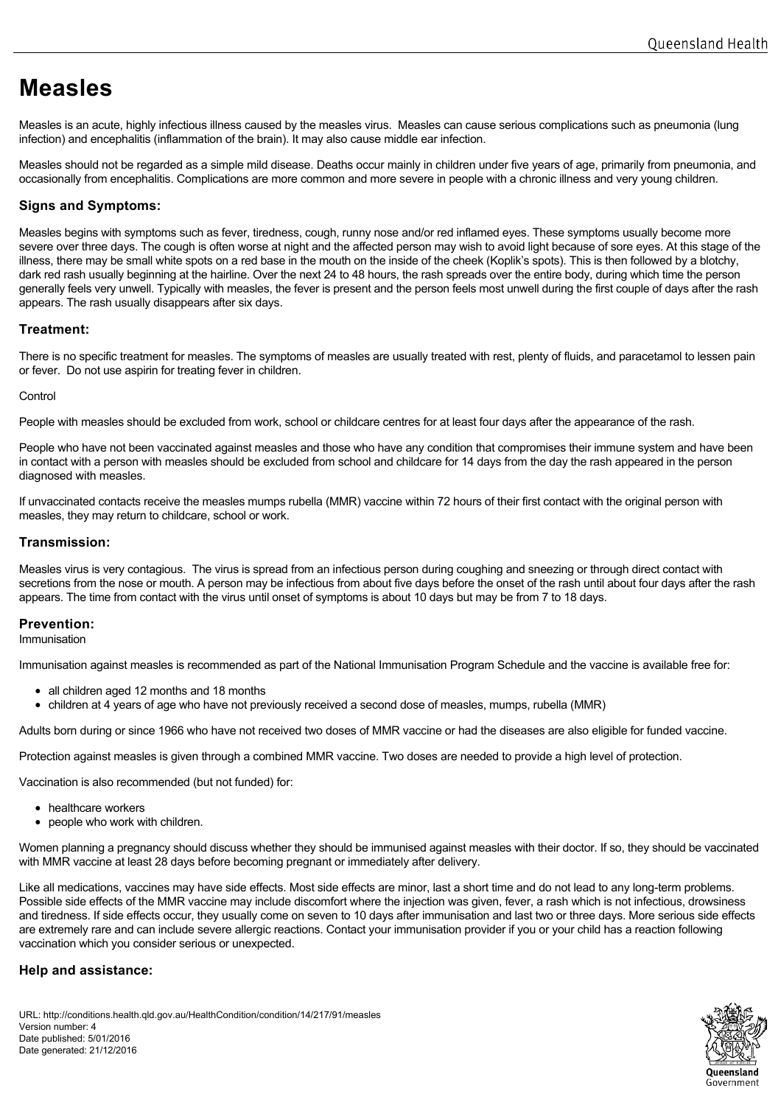# **Measles**

Measles is an acute, highly infectious illness caused by the measles virus. Measles can cause serious complications such as pneumonia (lung infection) and encephalitis (inflammation of the brain). It may also cause middle ear infection.

Measles should not be regarded as a simple mild disease. Deaths occur mainly in children under five years of age, primarily from pneumonia, and occasionally from encephalitis. Complications are more common and more severe in people with a chronic illness and very young children.

# **Signs and Symptoms:**

Measles begins with symptoms such as fever, tiredness, cough, runny nose and/or red inflamed eyes. These symptoms usually become more severe over three days. The cough is often worse at night and the affected person may wish to avoid light because of sore eyes. At this stage of the illness, there may be small white spots on a red base in the mouth on the inside of the cheek (Koplik's spots). This is then followed by a blotchy, dark red rash usually beginning at the hairline. Over the next 24 to 48 hours, the rash spreads over the entire body, during which time the person generally feels very unwell. Typically with measles, the fever is present and the person feels most unwell during the first couple of days after the rash appears. The rash usually disappears after six days.

# **Treatment:**

There is no specific treatment for measles. The symptoms of measles are usually treated with rest, plenty of fluids, and paracetamol to lessen pain or fever. Do not use aspirin for treating fever in children.

### **Control**

People with measles should be excluded from work, school or childcare centres for at least four days after the appearance of the rash.

People who have not been vaccinated against measles and those who have any condition that compromises their immune system and have been in contact with a person with measles should be excluded from school and childcare for 14 days from the day the rash appeared in the person diagnosed with measles.

If unvaccinated contacts receive the measles mumps rubella (MMR) vaccine within 72 hours of their first contact with the original person with measles, they may return to childcare, school or work.

# **Transmission:**

Measles virus is very contagious. The virus is spread from an infectious person during coughing and sneezing or through direct contact with secretions from the nose or mouth. A person may be infectious from about five days before the onset of the rash until about four days after the rash appears. The time from contact with the virus until onset of symptoms is about 10 days but may be from 7 to 18 days.

# **Prevention:**

Immunisation

Immunisation against measles is recommended as part of the National Immunisation Program Schedule and the vaccine is available free for:

- all children aged 12 months and 18 months
- children at 4 years of age who have not previously received a second dose of measles, mumps, rubella (MMR)

Adults born during or since 1966 who have not received two doses of MMR vaccine or had the diseases are also eligible for funded vaccine.

Protection against measles is given through a combined MMR vaccine. Two doses are needed to provide a high level of protection.

Vaccination is also recommended (but not funded) for:

- healthcare workers
- people who work with children.

Women planning a pregnancy should discuss whether they should be immunised against measles with their doctor. If so, they should be vaccinated with MMR vaccine at least 28 days before becoming pregnant or immediately after delivery.

Like all medications, vaccines may have side effects. Most side effects are minor, last a short time and do not lead to any long-term problems. Possible side effects of the MMR vaccine may include discomfort where the injection was given, fever, a rash which is not infectious, drowsiness and tiredness. If side effects occur, they usually come on seven to 10 days after immunisation and last two or three days. More serious side effects are extremely rare and can include severe allergic reactions. Contact your immunisation provider if you or your child has a reaction following vaccination which you consider serious or unexpected.

# **Help and assistance:**